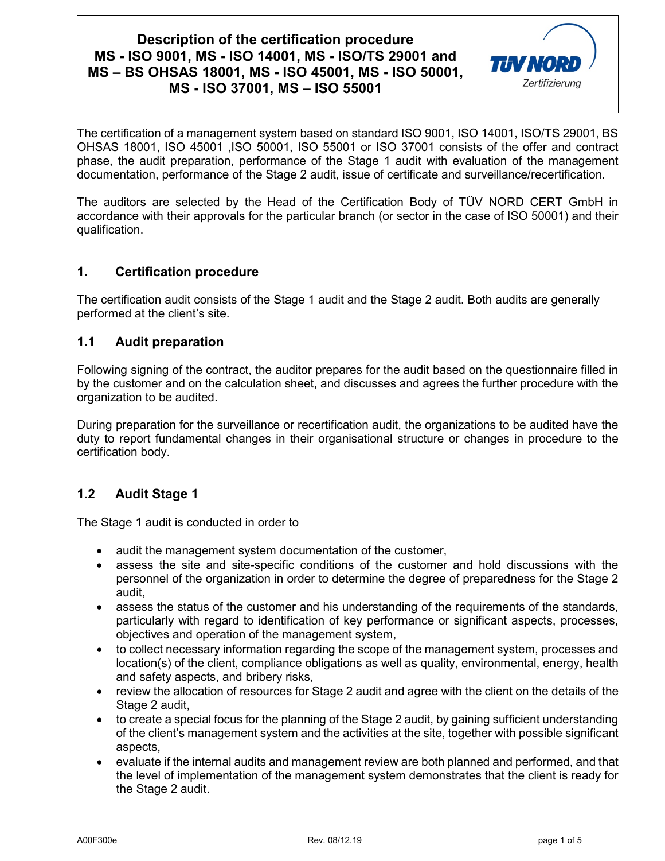

The certification of a management system based on standard ISO 9001, ISO 14001, ISO/TS 29001, BS OHSAS 18001, ISO 45001 ,ISO 50001, ISO 55001 or ISO 37001 consists of the offer and contract phase, the audit preparation, performance of the Stage 1 audit with evaluation of the management documentation, performance of the Stage 2 audit, issue of certificate and surveillance/recertification.

The auditors are selected by the Head of the Certification Body of TÜV NORD CERT GmbH in accordance with their approvals for the particular branch (or sector in the case of ISO 50001) and their qualification.

### **1. Certification procedure**

The certification audit consists of the Stage 1 audit and the Stage 2 audit. Both audits are generally performed at the client's site.

#### **1.1 Audit preparation**

Following signing of the contract, the auditor prepares for the audit based on the questionnaire filled in by the customer and on the calculation sheet, and discusses and agrees the further procedure with the organization to be audited.

During preparation for the surveillance or recertification audit, the organizations to be audited have the duty to report fundamental changes in their organisational structure or changes in procedure to the certification body.

### **1.2 Audit Stage 1**

The Stage 1 audit is conducted in order to

- audit the management system documentation of the customer,
- assess the site and site-specific conditions of the customer and hold discussions with the personnel of the organization in order to determine the degree of preparedness for the Stage 2 audit,
- assess the status of the customer and his understanding of the requirements of the standards, particularly with regard to identification of key performance or significant aspects, processes, objectives and operation of the management system,
- to collect necessary information regarding the scope of the management system, processes and location(s) of the client, compliance obligations as well as quality, environmental, energy, health and safety aspects, and bribery risks,
- review the allocation of resources for Stage 2 audit and agree with the client on the details of the Stage 2 audit,
- to create a special focus for the planning of the Stage 2 audit, by gaining sufficient understanding of the client's management system and the activities at the site, together with possible significant aspects,
- evaluate if the internal audits and management review are both planned and performed, and that the level of implementation of the management system demonstrates that the client is ready for the Stage 2 audit.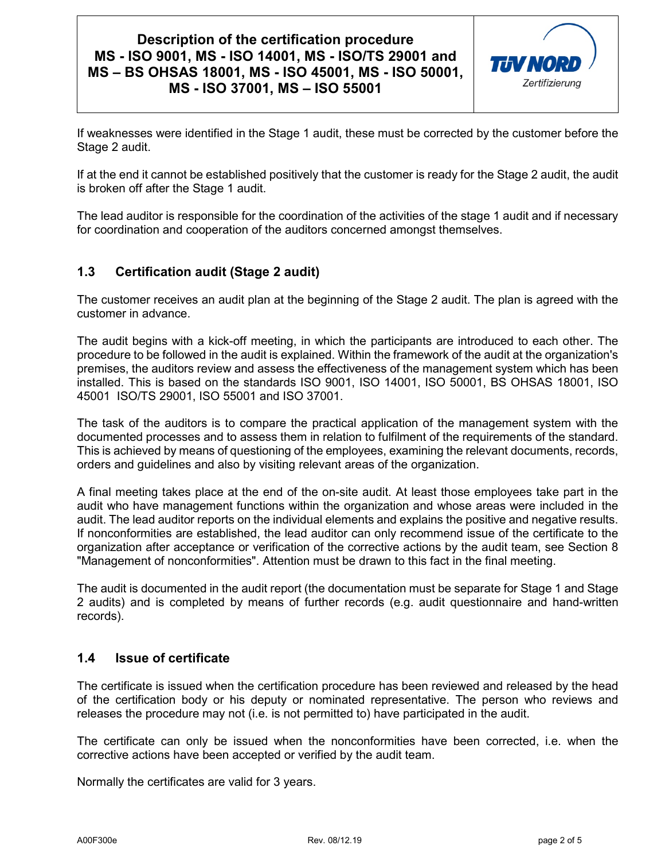

If weaknesses were identified in the Stage 1 audit, these must be corrected by the customer before the Stage 2 audit.

If at the end it cannot be established positively that the customer is ready for the Stage 2 audit, the audit is broken off after the Stage 1 audit.

The lead auditor is responsible for the coordination of the activities of the stage 1 audit and if necessary for coordination and cooperation of the auditors concerned amongst themselves.

### **1.3 Certification audit (Stage 2 audit)**

The customer receives an audit plan at the beginning of the Stage 2 audit. The plan is agreed with the customer in advance.

The audit begins with a kick-off meeting, in which the participants are introduced to each other. The procedure to be followed in the audit is explained. Within the framework of the audit at the organization's premises, the auditors review and assess the effectiveness of the management system which has been installed. This is based on the standards ISO 9001, ISO 14001, ISO 50001, BS OHSAS 18001, ISO 45001 ISO/TS 29001, ISO 55001 and ISO 37001.

The task of the auditors is to compare the practical application of the management system with the documented processes and to assess them in relation to fulfilment of the requirements of the standard. This is achieved by means of questioning of the employees, examining the relevant documents, records, orders and guidelines and also by visiting relevant areas of the organization.

A final meeting takes place at the end of the on-site audit. At least those employees take part in the audit who have management functions within the organization and whose areas were included in the audit. The lead auditor reports on the individual elements and explains the positive and negative results. If nonconformities are established, the lead auditor can only recommend issue of the certificate to the organization after acceptance or verification of the corrective actions by the audit team, see Section 8 "Management of nonconformities". Attention must be drawn to this fact in the final meeting.

The audit is documented in the audit report (the documentation must be separate for Stage 1 and Stage 2 audits) and is completed by means of further records (e.g. audit questionnaire and hand-written records).

### **1.4 Issue of certificate**

The certificate is issued when the certification procedure has been reviewed and released by the head of the certification body or his deputy or nominated representative. The person who reviews and releases the procedure may not (i.e. is not permitted to) have participated in the audit.

The certificate can only be issued when the nonconformities have been corrected, i.e. when the corrective actions have been accepted or verified by the audit team.

Normally the certificates are valid for 3 years.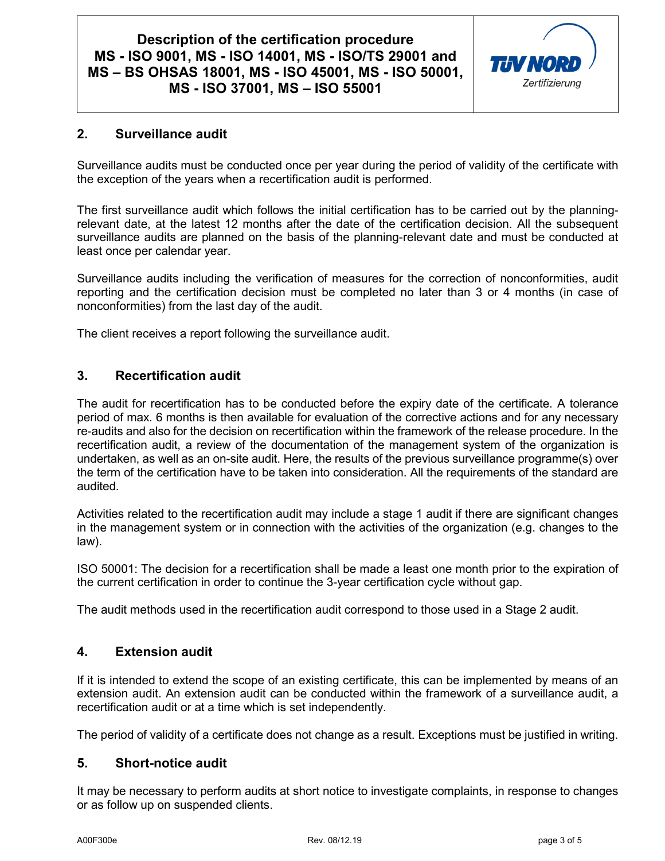

### **2. Surveillance audit**

Surveillance audits must be conducted once per year during the period of validity of the certificate with the exception of the years when a recertification audit is performed.

The first surveillance audit which follows the initial certification has to be carried out by the planningrelevant date, at the latest 12 months after the date of the certification decision. All the subsequent surveillance audits are planned on the basis of the planning-relevant date and must be conducted at least once per calendar year.

Surveillance audits including the verification of measures for the correction of nonconformities, audit reporting and the certification decision must be completed no later than 3 or 4 months (in case of nonconformities) from the last day of the audit.

The client receives a report following the surveillance audit.

### **3. Recertification audit**

The audit for recertification has to be conducted before the expiry date of the certificate. A tolerance period of max. 6 months is then available for evaluation of the corrective actions and for any necessary re-audits and also for the decision on recertification within the framework of the release procedure. In the recertification audit, a review of the documentation of the management system of the organization is undertaken, as well as an on-site audit. Here, the results of the previous surveillance programme(s) over the term of the certification have to be taken into consideration. All the requirements of the standard are audited.

Activities related to the recertification audit may include a stage 1 audit if there are significant changes in the management system or in connection with the activities of the organization (e.g. changes to the law).

ISO 50001: The decision for a recertification shall be made a least one month prior to the expiration of the current certification in order to continue the 3-year certification cycle without gap.

The audit methods used in the recertification audit correspond to those used in a Stage 2 audit.

### **4. Extension audit**

If it is intended to extend the scope of an existing certificate, this can be implemented by means of an extension audit. An extension audit can be conducted within the framework of a surveillance audit, a recertification audit or at a time which is set independently.

The period of validity of a certificate does not change as a result. Exceptions must be justified in writing.

#### **5. Short-notice audit**

It may be necessary to perform audits at short notice to investigate complaints, in response to changes or as follow up on suspended clients.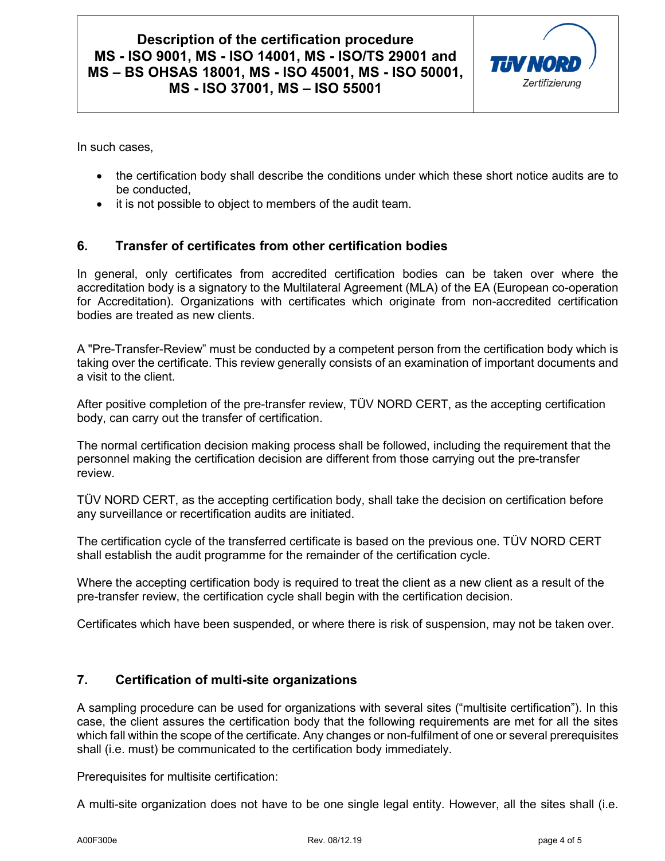

In such cases,

- the certification body shall describe the conditions under which these short notice audits are to be conducted,
- it is not possible to object to members of the audit team.

### **6. Transfer of certificates from other certification bodies**

In general, only certificates from accredited certification bodies can be taken over where the accreditation body is a signatory to the Multilateral Agreement (MLA) of the EA (European co-operation for Accreditation). Organizations with certificates which originate from non-accredited certification bodies are treated as new clients.

A "Pre-Transfer-Review" must be conducted by a competent person from the certification body which is taking over the certificate. This review generally consists of an examination of important documents and a visit to the client.

After positive completion of the pre-transfer review, TÜV NORD CERT, as the accepting certification body, can carry out the transfer of certification.

The normal certification decision making process shall be followed, including the requirement that the personnel making the certification decision are different from those carrying out the pre-transfer review.

TÜV NORD CERT, as the accepting certification body, shall take the decision on certification before any surveillance or recertification audits are initiated.

The certification cycle of the transferred certificate is based on the previous one. TÜV NORD CERT shall establish the audit programme for the remainder of the certification cycle.

Where the accepting certification body is required to treat the client as a new client as a result of the pre-transfer review, the certification cycle shall begin with the certification decision.

Certificates which have been suspended, or where there is risk of suspension, may not be taken over.

### **7. Certification of multi-site organizations**

A sampling procedure can be used for organizations with several sites ("multisite certification"). In this case, the client assures the certification body that the following requirements are met for all the sites which fall within the scope of the certificate. Any changes or non-fulfilment of one or several prerequisites shall (i.e. must) be communicated to the certification body immediately.

Prerequisites for multisite certification:

A multi-site organization does not have to be one single legal entity. However, all the sites shall (i.e.